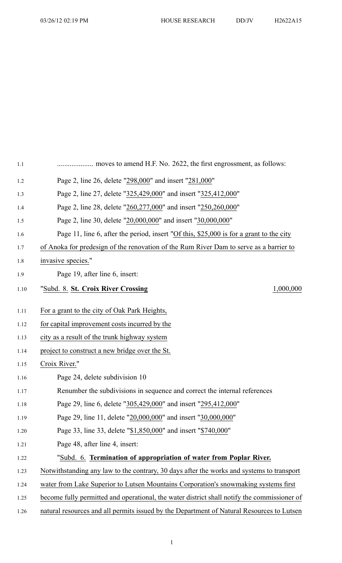| 1.1    |                                                                                             |
|--------|---------------------------------------------------------------------------------------------|
| 1.2    | Page 2, line 26, delete "298,000" and insert "281,000"                                      |
| 1.3    | Page 2, line 27, delete "325,429,000" and insert "325,412,000"                              |
| 1.4    | Page 2, line 28, delete "260,277,000" and insert "250,260,000"                              |
| 1.5    | Page 2, line 30, delete "20,000,000" and insert "30,000,000"                                |
| 1.6    | Page 11, line 6, after the period, insert "Of this, \$25,000 is for a grant to the city     |
| 1.7    | of Anoka for predesign of the renovation of the Rum River Dam to serve as a barrier to      |
| 1.8    | invasive species."                                                                          |
| 1.9    | Page 19, after line 6, insert:                                                              |
| $1.10$ | 1,000,000<br>"Subd. 8. St. Croix River Crossing                                             |
| 1.11   | For a grant to the city of Oak Park Heights,                                                |
| 1.12   | for capital improvement costs incurred by the                                               |
| 1.13   | city as a result of the trunk highway system                                                |
| 1.14   | project to construct a new bridge over the St.                                              |
| 1.15   | Croix River."                                                                               |
| 1.16   | Page 24, delete subdivision 10                                                              |
| 1.17   | Renumber the subdivisions in sequence and correct the internal references                   |
| 1.18   | Page 29, line 6, delete "305,429,000" and insert "295,412,000"                              |
| 1.19   | Page 29, line 11, delete "20,000,000" and insert "30,000,000"                               |
| 1.20   | Page 33, line 33, delete "\$1,850,000" and insert "\$740,000"                               |
| 1.21   | Page 48, after line 4, insert:                                                              |
| 1.22   | "Subd. 6. Termination of appropriation of water from Poplar River.                          |
| 1.23   | Notwithstanding any law to the contrary, 30 days after the works and systems to transport   |
| 1.24   | water from Lake Superior to Lutsen Mountains Corporation's snowmaking systems first         |
| 1.25   | become fully permitted and operational, the water district shall notify the commissioner of |
| 1.26   | natural resources and all permits issued by the Department of Natural Resources to Lutsen   |